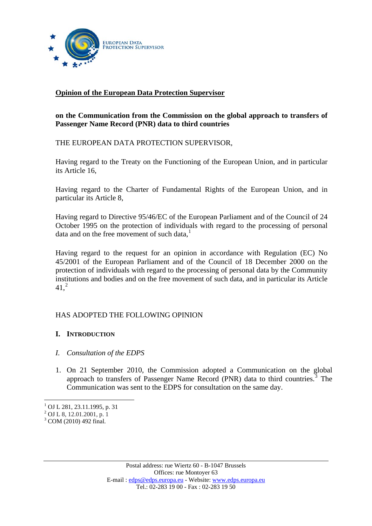

# **Opinion of the European Data Protection Supervisor**

## **on the Communication from the Commission on the global approach to transfers of Passenger Name Record (PNR) data to third countries**

THE EUROPEAN DATA PROTECTION SUPERVISOR,

Having regard to the Treaty on the Functioning of the European Union, and in particular its Article 16,

Having regard to the Charter of Fundamental Rights of the European Union, and in particular its Article 8,

Having regard to Directive 95/46/EC of the European Parliament and of the Council of 24 October 1995 on the protection of individuals with regard to the processing of personal data and on the free movement of such data, $<sup>1</sup>$  $<sup>1</sup>$  $<sup>1</sup>$ </sup>

Having regard to the request for an opinion in accordance with Regulation (EC) No 45/2001 of the European Parliament and of the Council of 18 December 2000 on the protection of individuals with regard to the processing of personal data by the Community institutions and bodies and on the free movement of such data, and in particular its Article  $41,^2$  $41,^2$ 

## HAS ADOPTED THE FOLLOWING OPINION

#### **I. INTRODUCTION**

- *I. Consultation of the EDPS*
- 1. On 21 September 2010, the Commission adopted a Communication on the global approach to transfers of Passenger Name Record (PNR) data to third countries.<sup>[3](#page-0-2)</sup> The Communication was sent to the EDPS for consultation on the same day.

1

<span id="page-0-0"></span><sup>1</sup> OJ L 281, 23.11.1995, p. 31

<sup>&</sup>lt;sup>2</sup> OJ L 8, 12.01.2001, p. 1

<span id="page-0-2"></span><span id="page-0-1"></span> $3$  COM (2010) 492 final.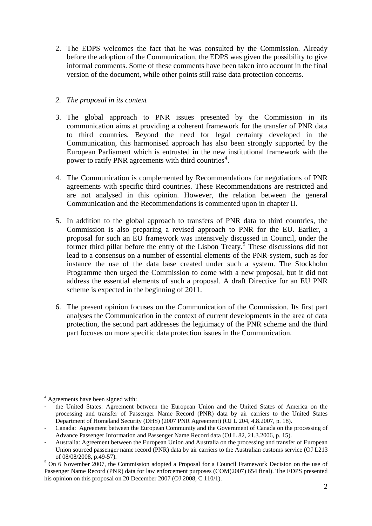2. The EDPS welcomes the fact that he was consulted by the Commission. Already before the adoption of the Communication, the EDPS was given the possibility to give informal comments. Some of these comments have been taken into account in the final version of the document, while other points still raise data protection concerns.

## *2. The proposal in its context*

- 3. The global approach to PNR issues presented by the Commission in its communication aims at providing a coherent framework for the transfer of PNR data to third countries. Beyond the need for legal certainty developed in the Communication, this harmonised approach has also been strongly supported by the European Parliament which is entrusted in the new institutional framework with the power to ratify PNR agreements with third countries<sup>[4](#page-1-0)</sup>.
- 4. The Communication is complemented by Recommendations for negotiations of PNR agreements with specific third countries. These Recommendations are restricted and are not analysed in this opinion. However, the relation between the general Communication and the Recommendations is commented upon in chapter II.
- 5. In addition to the global approach to transfers of PNR data to third countries, the Commission is also preparing a revised approach to PNR for the EU. Earlier, a proposal for such an EU framework was intensively discussed in Council, under the former third pillar before the entry of the Lisbon Treaty.<sup>[5](#page-1-1)</sup> These discussions did not lead to a consensus on a number of essential elements of the PNR-system, such as for instance the use of the data base created under such a system. The Stockholm Programme then urged the Commission to come with a new proposal, but it did not address the essential elements of such a proposal. A draft Directive for an EU PNR scheme is expected in the beginning of 2011.
- 6. The present opinion focuses on the Communication of the Commission. Its first part analyses the Communication in the context of current developments in the area of data protection, the second part addresses the legitimacy of the PNR scheme and the third part focuses on more specific data protection issues in the Communication.

1

<span id="page-1-0"></span><sup>4</sup> Agreements have been signed with:

the United States: Agreement between the European Union and the United States of America on the processing and transfer of Passenger Name Record (PNR) data by air carriers to the United States Department of Homeland Security (DHS) (2007 PNR Agreement) (OJ L 204, 4.8.2007, p. 18).

<sup>-</sup> Canada: Agreement between the European Community and the Government of Canada on the processing of Advance Passenger Information and Passenger Name Record data (OJ L 82, 21.3.2006, p. 15).

Australia: [Agreement](http://eur-lex.europa.eu/LexUriServ/LexUriServ.do?uri=OJ:L:2008:213:0049:0057:EN:PDF) between the European Union and Australia on the processing and transfer of European Union sourced passenger name record (PNR) data by air carriers to the Australian customs service (OJ L213 of 08/08/2008, p.49-57).

<span id="page-1-1"></span><sup>&</sup>lt;sup>5</sup> On 6 November 2007, the Commission adopted a Proposal for a Council Framework Decision on the use of Passenger Name Record (PNR) data for law enforcement purposes (COM(2007) 654 final). The EDPS presented his opinion on this proposal on 20 December 2007 (OJ 2008, C 110/1).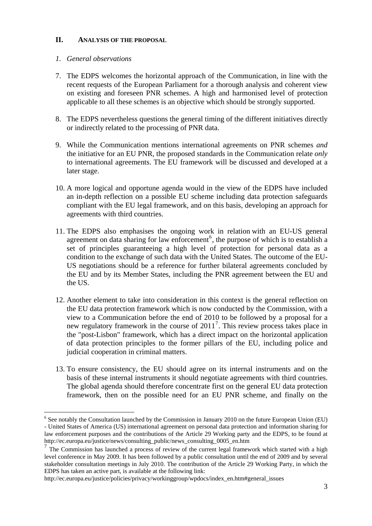#### **II. ANALYSIS OF THE PROPOSAL**

### *1. General observations*

1

- 7. The EDPS welcomes the horizontal approach of the Communication, in line with the recent requests of the European Parliament for a thorough analysis and coherent view on existing and foreseen PNR schemes. A high and harmonised level of protection applicable to all these schemes is an objective which should be strongly supported.
- 8. The EDPS nevertheless questions the general timing of the different initiatives directly or indirectly related to the processing of PNR data.
- 9. While the Communication mentions international agreements on PNR schemes *and* the initiative for an EU PNR, the proposed standards in the Communication relate *only* to international agreements. The EU framework will be discussed and developed at a later stage.
- 10. A more logical and opportune agenda would in the view of the EDPS have included an in-depth reflection on a possible EU scheme including data protection safeguards compliant with the EU legal framework, and on this basis, developing an approach for agreements with third countries.
- 11. The EDPS also emphasises the ongoing work in relation with an EU-US general agreement on data sharing for law enforcement<sup>[6](#page-2-0)</sup>, the purpose of which is to establish a set of principles guaranteeing a high level of protection for personal data as a condition to the exchange of such data with the United States. The outcome of the EU-US negotiations should be a reference for further bilateral agreements concluded by the EU and by its Member States, including the PNR agreement between the EU and the US.
- 12. Another element to take into consideration in this context is the general reflection on the EU data protection framework which is now conducted by the Commission, with a view to a Communication before the end of 2010 to be followed by a proposal for a new regulatory framework in the course of 2011<sup>[7](#page-2-1)</sup>. This review process takes place in the "post-Lisbon" framework, which has a direct impact on the horizontal application of data protection principles to the former pillars of the EU, including police and judicial cooperation in criminal matters.
- 13. To ensure consistency, the EU should agree on its internal instruments and on the basis of these internal instruments it should negotiate agreements with third countries. The global agenda should therefore concentrate first on the general EU data protection framework, then on the possible need for an EU PNR scheme, and finally on the

http://ec.europa.eu/justice/policies/privacy/workinggroup/wpdocs/index\_en.htm#general\_issues

<span id="page-2-0"></span><sup>&</sup>lt;sup>6</sup> See notably the Consultation launched by the Commission in January 2010 on the future European Union (EU) [- United States of America \(US\) international agreement on personal data protection and information sharing for](http://ec.europa.eu/justice_home/news/consulting_public/news_consulting_0005_en.htm)  [law enforcement purposes](http://ec.europa.eu/justice_home/news/consulting_public/news_consulting_0005_en.htm) and the contributions of the Article 29 Working party and the EDPS, to be found at http://ec.europa.eu/justice/news/consulting\_public/news\_consulting\_0005\_en.htm

<span id="page-2-1"></span> $7$  The Commission has launched a process of review of the current legal framework which started with a high level conference in May 2009. It has been followed by a public consultation until the end of 2009 and by several stakeholder consultation meetings in July 2010. The contribution of the Article 29 Working Party, in which the EDPS has taken an active part, is available at the following link: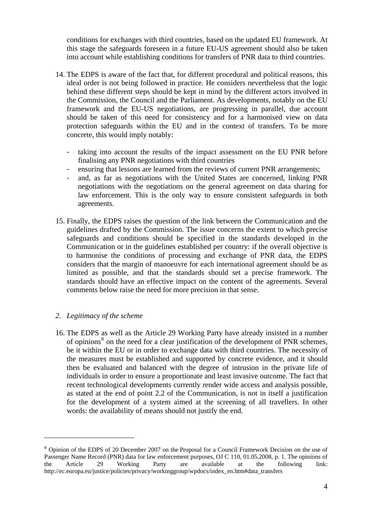conditions for exchanges with third countries, based on the updated EU framework. At this stage the safeguards foreseen in a future EU-US agreement should also be taken into account while establishing conditions for transfers of PNR data to third countries.

- 14. The EDPS is aware of the fact that, for different procedural and political reasons, this ideal order is not being followed in practice. He considers nevertheless that the logic behind these different steps should be kept in mind by the different actors involved in the Commission, the Council and the Parliament. As developments, notably on the EU framework and the EU-US negotiations, are progressing in parallel, due account should be taken of this need for consistency and for a harmonised view on data protection safeguards within the EU and in the context of transfers. To be more concrete, this would imply notably:
	- taking into account the results of the impact assessment on the EU PNR before finalising any PNR negotiations with third countries
	- ensuring that lessons are learned from the reviews of current PNR arrangements;
	- and, as far as negotiations with the United States are concerned, linking PNR negotiations with the negotiations on the general agreement on data sharing for law enforcement. This is the only way to ensure consistent safeguards in both agreements.
- 15. Finally, the EDPS raises the question of the link between the Communication and the guidelines drafted by the Commission. The issue concerns the extent to which precise safeguards and conditions should be specified in the standards developed in the Communication or in the guidelines established per country: if the overall objective is to harmonise the conditions of processing and exchange of PNR data, the EDPS considers that the margin of manoeuvre for each international agreement should be as limited as possible, and that the standards should set a precise framework. The standards should have an effective impact on the content of the agreements. Several comments below raise the need for more precision in that sense.

#### *2. Legitimacy of the scheme*

<u>.</u>

16. The EDPS as well as the Article 29 Working Party have already insisted in a number of opinions<sup>[8](#page-3-0)</sup> on the need for a clear justification of the development of PNR schemes, be it within the EU or in order to exchange data with third countries. The necessity of the measures must be established and supported by concrete evidence, and it should then be evaluated and balanced with the degree of intrusion in the private life of individuals in order to ensure a proportionate and least invasive outcome. The fact that recent technological developments currently render wide access and analysis possible, as stated at the end of point 2.2 of the Communication, is not in itself a justification for the development of a system aimed at the screening of all travellers. In other words: the availability of means should not justify the end.

<span id="page-3-0"></span><sup>&</sup>lt;sup>8</sup> Opinion of the EDPS of 20 December 2007 on the Proposal for a Council Framework Decision on the use of Passenger Name Record (PNR) data for law enforcement purposes, OJ C 110, 01.05.2008, p. 1. The opinions of the Article 29 Working Party are available at the following link: http://ec.europa.eu/justice/policies/privacy/workinggroup/wpdocs/index\_en.htm#data\_transfers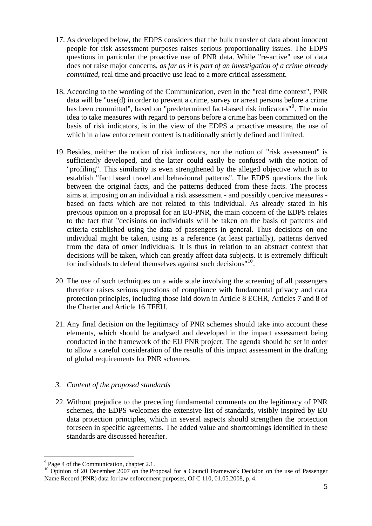- 17. As developed below, the EDPS considers that the bulk transfer of data about innocent people for risk assessment purposes raises serious proportionality issues. The EDPS questions in particular the proactive use of PNR data. While "re-active" use of data does not raise major concerns, *as far as it is part of an investigation of a crime already committed*, real time and proactive use lead to a more critical assessment.
- 18. According to the wording of the Communication, even in the "real time context", PNR data will be "use(d) in order to prevent a crime, survey or arrest persons before a crime has been committed", based on "predetermined fact-based risk indicators"<sup>[9](#page-4-0)</sup>. The main idea to take measures with regard to persons before a crime has been committed on the basis of risk indicators, is in the view of the EDPS a proactive measure, the use of which in a law enforcement context is traditionally strictly defined and limited.
- 19. Besides, neither the notion of risk indicators, nor the notion of "risk assessment" is sufficiently developed, and the latter could easily be confused with the notion of "profiling". This similarity is even strengthened by the alleged objective which is to establish "fact based travel and behavioural patterns". The EDPS questions the link between the original facts, and the patterns deduced from these facts. The process aims at imposing on an individual a risk assessment - and possibly coercive measures based on facts which are not related to this individual. As already stated in his previous opinion on a proposal for an EU-PNR, the main concern of the EDPS relates to the fact that "decisions on individuals will be taken on the basis of patterns and criteria established using the data of passengers in general. Thus decisions on one individual might be taken, using as a reference (at least partially), patterns derived from the data of *other* individuals. It is thus in relation to an abstract context that decisions will be taken, which can greatly affect data subjects. It is extremely difficult for individuals to defend themselves against such decisions"<sup>[10](#page-4-1)</sup>.
- 20. The use of such techniques on a wide scale involving the screening of all passengers therefore raises serious questions of compliance with fundamental privacy and data protection principles, including those laid down in Article 8 ECHR, Articles 7 and 8 of the Charter and Article 16 TFEU.
- 21. Any final decision on the legitimacy of PNR schemes should take into account these elements, which should be analysed and developed in the impact assessment being conducted in the framework of the EU PNR project. The agenda should be set in order to allow a careful consideration of the results of this impact assessment in the drafting of global requirements for PNR schemes.

## *3. Content of the proposed standards*

22. Without prejudice to the preceding fundamental comments on the legitimacy of PNR schemes, the EDPS welcomes the extensive list of standards, visibly inspired by EU data protection principles, which in several aspects should strengthen the protection foreseen in specific agreements. The added value and shortcomings identified in these standards are discussed hereafter.

<sup>1</sup> <sup>9</sup> Page 4 of the Communication, chapter 2.1.

<span id="page-4-1"></span><span id="page-4-0"></span><sup>&</sup>lt;sup>10</sup> Opinion of 20 December 2007 on the Proposal for a Council Framework Decision on the use of Passenger Name Record (PNR) data for law enforcement purposes, OJ C 110, 01.05.2008, p. 4.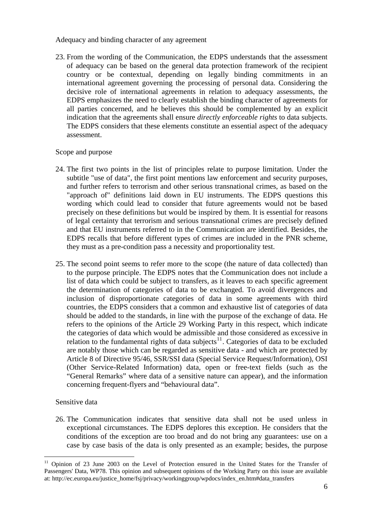Adequacy and binding character of any agreement

23. From the wording of the Communication, the EDPS understands that the assessment of adequacy can be based on the general data protection framework of the recipient country or be contextual, depending on legally binding commitments in an international agreement governing the processing of personal data. Considering the decisive role of international agreements in relation to adequacy assessments, the EDPS emphasizes the need to clearly establish the binding character of agreements for all parties concerned, and he believes this should be complemented by an explicit indication that the agreements shall ensure *directly enforceable rights* to data subjects. The EDPS considers that these elements constitute an essential aspect of the adequacy assessment.

## Scope and purpose

- 24. The first two points in the list of principles relate to purpose limitation. Under the subtitle "use of data", the first point mentions law enforcement and security purposes, and further refers to terrorism and other serious transnational crimes, as based on the "approach of" definitions laid down in EU instruments. The EDPS questions this wording which could lead to consider that future agreements would not be based precisely on these definitions but would be inspired by them. It is essential for reasons of legal certainty that terrorism and serious transnational crimes are precisely defined and that EU instruments referred to in the Communication are identified. Besides, the EDPS recalls that before different types of crimes are included in the PNR scheme, they must as a pre-condition pass a necessity and proportionality test.
- 25. The second point seems to refer more to the scope (the nature of data collected) than to the purpose principle. The EDPS notes that the Communication does not include a list of data which could be subject to transfers, as it leaves to each specific agreement the determination of categories of data to be exchanged. To avoid divergences and inclusion of disproportionate categories of data in some agreements with third countries, the EDPS considers that a common and exhaustive list of categories of data should be added to the standards, in line with the purpose of the exchange of data. He refers to the opinions of the Article 29 Working Party in this respect, which indicate the categories of data which would be admissible and those considered as excessive in relation to the fundamental rights of data subjects<sup>[11](#page-5-0)</sup>. Categories of data to be excluded are notably those which can be regarded as sensitive data - and which are protected by Article 8 of Directive 95/46, SSR/SSI data (Special Service Request/Information), OSI (Other Service-Related Information) data, open or free-text fields (such as the "General Remarks" where data of a sensitive nature can appear), and the information concerning frequent-flyers and "behavioural data".

## Sensitive data

26. The Communication indicates that sensitive data shall not be used unless in exceptional circumstances. The EDPS deplores this exception. He considers that the conditions of the exception are too broad and do not bring any guarantees: use on a case by case basis of the data is only presented as an example; besides, the purpose

<span id="page-5-0"></span><sup>1</sup> <sup>11</sup> Opinion of 23 June 2003 on the Level of Protection ensured in the United States for the Transfer of Passengers' Data, WP78. This opinion and subsequent opinions of the Working Party on this issue are available at: http://ec.europa.eu/justice\_home/fsj/privacy/workinggroup/wpdocs/index\_en.htm#data\_transfers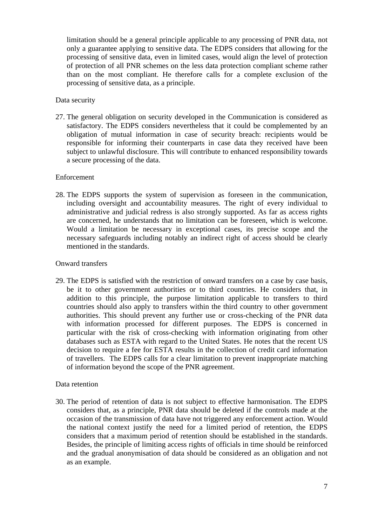limitation should be a general principle applicable to any processing of PNR data, not only a guarantee applying to sensitive data. The EDPS considers that allowing for the processing of sensitive data, even in limited cases, would align the level of protection of protection of all PNR schemes on the less data protection compliant scheme rather than on the most compliant. He therefore calls for a complete exclusion of the processing of sensitive data, as a principle.

### Data security

27. The general obligation on security developed in the Communication is considered as satisfactory. The EDPS considers nevertheless that it could be complemented by an obligation of mutual information in case of security breach: recipients would be responsible for informing their counterparts in case data they received have been subject to unlawful disclosure. This will contribute to enhanced responsibility towards a secure processing of the data.

#### Enforcement

28. The EDPS supports the system of supervision as foreseen in the communication, including oversight and accountability measures. The right of every individual to administrative and judicial redress is also strongly supported. As far as access rights are concerned, he understands that no limitation can be foreseen, which is welcome. Would a limitation be necessary in exceptional cases, its precise scope and the necessary safeguards including notably an indirect right of access should be clearly mentioned in the standards.

#### Onward transfers

29. The EDPS is satisfied with the restriction of onward transfers on a case by case basis, be it to other government authorities or to third countries. He considers that, in addition to this principle, the purpose limitation applicable to transfers to third countries should also apply to transfers within the third country to other government authorities. This should prevent any further use or cross-checking of the PNR data with information processed for different purposes. The EDPS is concerned in particular with the risk of cross-checking with information originating from other databases such as ESTA with regard to the United States. He notes that the recent US decision to require a fee for ESTA results in the collection of credit card information of travellers. The EDPS calls for a clear limitation to prevent inappropriate matching of information beyond the scope of the PNR agreement.

#### Data retention

30. The period of retention of data is not subject to effective harmonisation. The EDPS considers that, as a principle, PNR data should be deleted if the controls made at the occasion of the transmission of data have not triggered any enforcement action. Would the national context justify the need for a limited period of retention, the EDPS considers that a maximum period of retention should be established in the standards. Besides, the principle of limiting access rights of officials in time should be reinforced and the gradual anonymisation of data should be considered as an obligation and not as an example.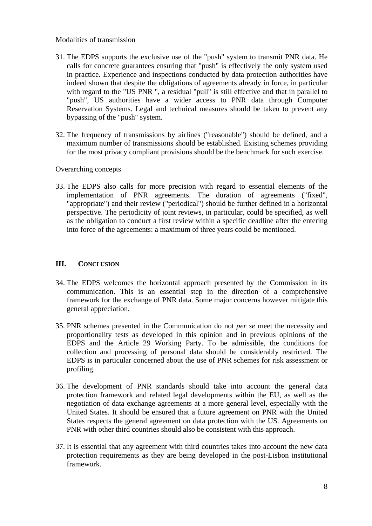#### Modalities of transmission

- 31. The EDPS supports the exclusive use of the "push" system to transmit PNR data. He calls for concrete guarantees ensuring that "push" is effectively the only system used in practice. Experience and inspections conducted by data protection authorities have indeed shown that despite the obligations of agreements already in force, in particular with regard to the "US PNR ", a residual "pull" is still effective and that in parallel to "push", US authorities have a wider access to PNR data through Computer Reservation Systems. Legal and technical measures should be taken to prevent any bypassing of the "push" system.
- 32. The frequency of transmissions by airlines ("reasonable") should be defined, and a maximum number of transmissions should be established. Existing schemes providing for the most privacy compliant provisions should be the benchmark for such exercise.

#### Overarching concepts

33. The EDPS also calls for more precision with regard to essential elements of the implementation of PNR agreements. The duration of agreements ("fixed", "appropriate") and their review ("periodical") should be further defined in a horizontal perspective. The periodicity of joint reviews, in particular, could be specified, as well as the obligation to conduct a first review within a specific deadline after the entering into force of the agreements: a maximum of three years could be mentioned.

## **III. CONCLUSION**

- 34. The EDPS welcomes the horizontal approach presented by the Commission in its communication. This is an essential step in the direction of a comprehensive framework for the exchange of PNR data. Some major concerns however mitigate this general appreciation.
- 35. PNR schemes presented in the Communication do not *per se* meet the necessity and proportionality tests as developed in this opinion and in previous opinions of the EDPS and the Article 29 Working Party. To be admissible, the conditions for collection and processing of personal data should be considerably restricted. The EDPS is in particular concerned about the use of PNR schemes for risk assessment or profiling.
- 36. The development of PNR standards should take into account the general data protection framework and related legal developments within the EU, as well as the negotiation of data exchange agreements at a more general level, especially with the United States. It should be ensured that a future agreement on PNR with the United States respects the general agreement on data protection with the US. Agreements on PNR with other third countries should also be consistent with this approach.
- 37. It is essential that any agreement with third countries takes into account the new data protection requirements as they are being developed in the post-Lisbon institutional framework.